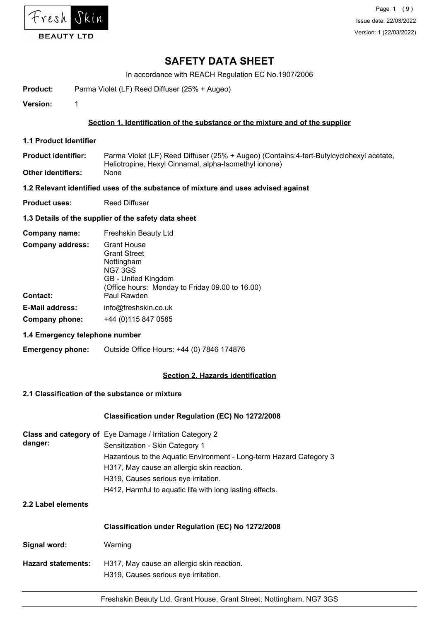

In accordance with REACH Regulation EC No.1907/2006

**Product:** Parma Violet (LF) Reed Diffuser (25% + Augeo)

**Version:** 1

### **Section 1. Identification of the substance or the mixture and of the supplier**

- **1.1 Product Identifier**
- Parma Violet (LF) Reed Diffuser (25% + Augeo) (Contains:4-tert-Butylcyclohexyl acetate, Heliotropine, Hexyl Cinnamal, alpha-Isomethyl ionone) **Product identifier: Other identifiers:** None

#### **1.2 Relevant identified uses of the substance of mixture and uses advised against**

**Product uses:** Reed Diffuser

#### **1.3 Details of the supplier of the safety data sheet**

| Company name:           | Freshskin Beauty Ltd                                                                                                                                |
|-------------------------|-----------------------------------------------------------------------------------------------------------------------------------------------------|
| <b>Company address:</b> | <b>Grant House</b><br><b>Grant Street</b><br>Nottingham<br><b>NG7 3GS</b><br>GB - United Kingdom<br>(Office hours: Monday to Friday 09.00 to 16.00) |
| <b>Contact:</b>         | Paul Rawden                                                                                                                                         |
| <b>E-Mail address:</b>  | info@freshskin.co.uk                                                                                                                                |
| Company phone:          | +44 (0) 115 847 0585                                                                                                                                |

#### **1.4 Emergency telephone number**

**Emergency phone:** Outside Office Hours: +44 (0) 7846 174876

#### **Section 2. Hazards identification**

## **2.1 Classification of the substance or mixture**

#### **Classification under Regulation (EC) No 1272/2008**

| danger:                   | Class and category of Eye Damage / Irritation Category 2<br>Sensitization - Skin Category 1<br>Hazardous to the Aquatic Environment - Long-term Hazard Category 3<br>H317, May cause an allergic skin reaction.<br>H319, Causes serious eye irritation.<br>H412, Harmful to aquatic life with long lasting effects. |
|---------------------------|---------------------------------------------------------------------------------------------------------------------------------------------------------------------------------------------------------------------------------------------------------------------------------------------------------------------|
| 2.2 Label elements        |                                                                                                                                                                                                                                                                                                                     |
|                           | <b>Classification under Regulation (EC) No 1272/2008</b>                                                                                                                                                                                                                                                            |
| Signal word:              | Warning                                                                                                                                                                                                                                                                                                             |
| <b>Hazard statements:</b> | H317, May cause an allergic skin reaction.<br>H319, Causes serious eye irritation.                                                                                                                                                                                                                                  |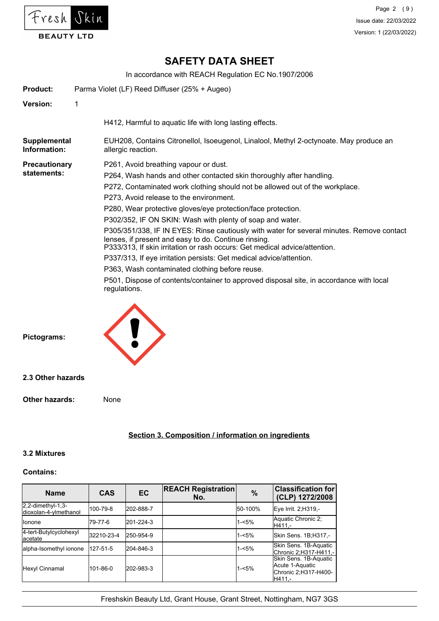

In accordance with REACH Regulation EC No.1907/2006

| <b>Product:</b>              | Parma Violet (LF) Reed Diffuser (25% + Augeo)                                                                                                                                                                                   |
|------------------------------|---------------------------------------------------------------------------------------------------------------------------------------------------------------------------------------------------------------------------------|
| Version:                     | 1                                                                                                                                                                                                                               |
|                              | H412, Harmful to aquatic life with long lasting effects.                                                                                                                                                                        |
| Supplemental<br>Information: | EUH208, Contains Citronellol, Isoeugenol, Linalool, Methyl 2-octynoate. May produce an<br>allergic reaction.                                                                                                                    |
| <b>Precautionary</b>         | P261, Avoid breathing vapour or dust.                                                                                                                                                                                           |
| statements:                  | P264, Wash hands and other contacted skin thoroughly after handling.                                                                                                                                                            |
|                              | P272, Contaminated work clothing should not be allowed out of the workplace.                                                                                                                                                    |
|                              | P273, Avoid release to the environment.                                                                                                                                                                                         |
|                              | P280, Wear protective gloves/eye protection/face protection.                                                                                                                                                                    |
|                              | P302/352, IF ON SKIN: Wash with plenty of soap and water.                                                                                                                                                                       |
|                              | P305/351/338, IF IN EYES: Rinse cautiously with water for several minutes. Remove contact<br>lenses, if present and easy to do. Continue rinsing.<br>P333/313, If skin irritation or rash occurs: Get medical advice/attention. |
|                              | P337/313, If eye irritation persists: Get medical advice/attention.                                                                                                                                                             |
|                              | P363, Wash contaminated clothing before reuse.                                                                                                                                                                                  |
|                              | P501, Dispose of contents/container to approved disposal site, in accordance with local<br>regulations.                                                                                                                         |
|                              |                                                                                                                                                                                                                                 |
| Pictograms:                  |                                                                                                                                                                                                                                 |
| 2.3 Other hazards            |                                                                                                                                                                                                                                 |
| <b>Other hazards:</b>        | None                                                                                                                                                                                                                            |

# **Section 3. Composition / information on ingredients**

#### **3.2 Mixtures**

#### **Contains:**

| <b>Name</b>                                   | <b>CAS</b> | <b>EC</b> | <b>REACH Registration</b><br>No. | $\frac{9}{6}$ | <b>Classification for</b><br>(CLP) 1272/2008                               |
|-----------------------------------------------|------------|-----------|----------------------------------|---------------|----------------------------------------------------------------------------|
| $2,2$ -dimethyl-1,3-<br>dioxolan-4-ylmethanol | 100-79-8   | 202-888-7 |                                  | 50-100%       | Eye Irrit. 2;H319,-                                                        |
| <b>Ilonone</b>                                | 179-77-6   | 201-224-3 |                                  | $1 - 5%$      | Aquatic Chronic 2;<br>H411.-                                               |
| 4-tert-Butylcyclohexyl<br>lacetate            | 32210-23-4 | 250-954-9 |                                  | $1 - 5%$      | Skin Sens. 1B;H317,-                                                       |
| alpha-Isomethyl ionone                        | 127-51-5   | 204-846-3 |                                  | $1 - 5%$      | Skin Sens. 1B-Aquatic<br>Chronic 2, H317-H411,-                            |
| Hexyl Cinnamal                                | 101-86-0   | 202-983-3 |                                  | $1 - 5%$      | Skin Sens. 1B-Aquatic<br>Acute 1-Aquatic<br>Chronic 2;H317-H400-<br>H411.- |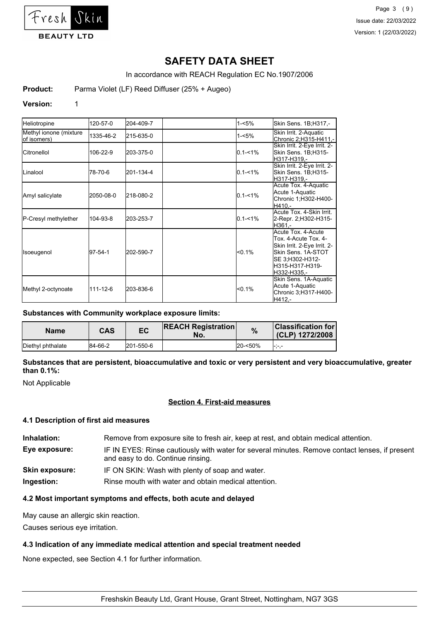

In accordance with REACH Regulation EC No.1907/2006

**Product:** Parma Violet (LF) Reed Diffuser (25% + Augeo)

#### **Version:** 1

| Heliotropine                          | 120-57-0  | 204-409-7 | 1-<5%       | Skin Sens. 1B;H317,-                                                                                                                                 |
|---------------------------------------|-----------|-----------|-------------|------------------------------------------------------------------------------------------------------------------------------------------------------|
| Methyl ionone (mixture<br>of isomers) | 1335-46-2 | 215-635-0 | 1-<5%       | Skin Irrit. 2-Aquatic<br>Chronic 2; H315-H411,-                                                                                                      |
| <b>Citronellol</b>                    | 106-22-9  | 203-375-0 | $0.1 - 1\%$ | Skin Irrit. 2-Eye Irrit. 2-<br>Skin Sens. 1B;H315-<br>H317-H319.-                                                                                    |
| ILinalool                             | 78-70-6   | 201-134-4 | $0.1 - 1\%$ | Skin Irrit. 2-Eye Irrit. 2-<br>Skin Sens. 1B;H315-<br>H317-H319,-                                                                                    |
| Amyl salicylate                       | 2050-08-0 | 218-080-2 | $0.1 - 1\%$ | Acute Tox. 4-Aquatic<br>Acute 1-Aquatic<br>Chronic 1;H302-H400-<br>H410.-                                                                            |
| P-Cresyl methylether                  | 104-93-8  | 203-253-7 | $0.1 - 1\%$ | Acute Tox. 4-Skin Irrit.<br>2-Repr. 2;H302-H315-<br>H361.-                                                                                           |
| Isoeugenol                            | 97-54-1   | 202-590-7 | $< 0.1\%$   | Acute Tox, 4-Acute<br>Tox. 4-Acute Tox. 4-<br>Skin Irrit. 2-Eye Irrit. 2-<br>Skin Sens. 1A-STOT<br>SE 3;H302-H312-<br>H315-H317-H319-<br>H332-H335.- |
| Methyl 2-octynoate                    | 111-12-6  | 203-836-6 | $< 0.1\%$   | Skin Sens. 1A-Aquatic<br>Acute 1-Aquatic<br>Chronic 3;H317-H400-<br>H412.-                                                                           |

### **Substances with Community workplace exposure limits:**

| <b>Name</b>       | CAS     | EC        | <b>REACH Registration</b><br>No. | $\frac{0}{0}$ | <b>Classification for</b><br>(CLP) 1272/2008 |
|-------------------|---------|-----------|----------------------------------|---------------|----------------------------------------------|
| Diethyl phthalate | 84-66-2 | 201-550-6 |                                  | l20-<50%      | - - -                                        |

### **Substances that are persistent, bioaccumulative and toxic or very persistent and very bioaccumulative, greater than 0.1%:**

Not Applicable

## **Section 4. First-aid measures**

#### **4.1 Description of first aid measures**

| IF IN EYES: Rinse cautiously with water for several minutes. Remove contact lenses, if present |
|------------------------------------------------------------------------------------------------|
|                                                                                                |
|                                                                                                |
|                                                                                                |

## **4.2 Most important symptoms and effects, both acute and delayed**

May cause an allergic skin reaction.

Causes serious eye irritation.

#### **4.3 Indication of any immediate medical attention and special treatment needed**

None expected, see Section 4.1 for further information.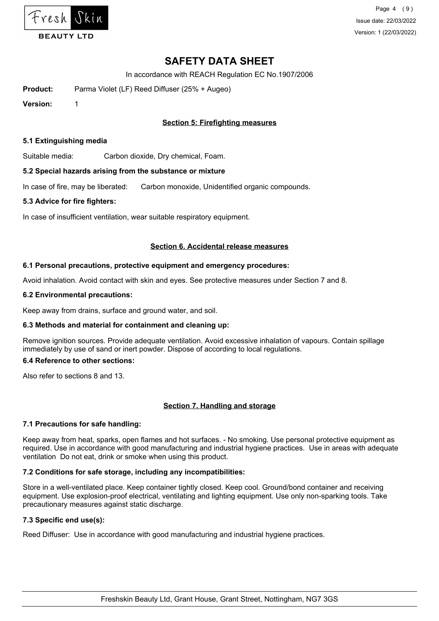

Page 4 (9) Issue date: 22/03/2022 Version: 1 (22/03/2022)

# **SAFETY DATA SHEET**

In accordance with REACH Regulation EC No.1907/2006

**Product:** Parma Violet (LF) Reed Diffuser (25% + Augeo)

**Version:** 1

### **Section 5: Firefighting measures**

#### **5.1 Extinguishing media**

Suitable media: Carbon dioxide, Dry chemical, Foam.

#### **5.2 Special hazards arising from the substance or mixture**

In case of fire, may be liberated: Carbon monoxide, Unidentified organic compounds.

#### **5.3 Advice for fire fighters:**

In case of insufficient ventilation, wear suitable respiratory equipment.

#### **Section 6. Accidental release measures**

#### **6.1 Personal precautions, protective equipment and emergency procedures:**

Avoid inhalation. Avoid contact with skin and eyes. See protective measures under Section 7 and 8.

#### **6.2 Environmental precautions:**

Keep away from drains, surface and ground water, and soil.

#### **6.3 Methods and material for containment and cleaning up:**

Remove ignition sources. Provide adequate ventilation. Avoid excessive inhalation of vapours. Contain spillage immediately by use of sand or inert powder. Dispose of according to local regulations.

#### **6.4 Reference to other sections:**

Also refer to sections 8 and 13.

#### **Section 7. Handling and storage**

#### **7.1 Precautions for safe handling:**

Keep away from heat, sparks, open flames and hot surfaces. - No smoking. Use personal protective equipment as required. Use in accordance with good manufacturing and industrial hygiene practices. Use in areas with adequate ventilation Do not eat, drink or smoke when using this product.

#### **7.2 Conditions for safe storage, including any incompatibilities:**

Store in a well-ventilated place. Keep container tightly closed. Keep cool. Ground/bond container and receiving equipment. Use explosion-proof electrical, ventilating and lighting equipment. Use only non-sparking tools. Take precautionary measures against static discharge.

## **7.3 Specific end use(s):**

Reed Diffuser: Use in accordance with good manufacturing and industrial hygiene practices.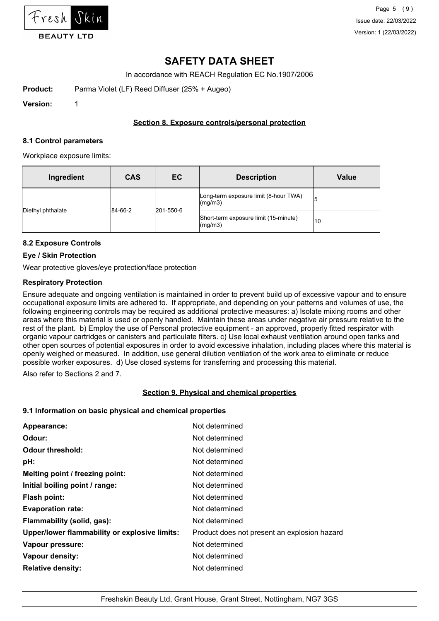

In accordance with REACH Regulation EC No.1907/2006

**Product:** Parma Violet (LF) Reed Diffuser (25% + Augeo)

**Version:** 1

## **Section 8. Exposure controls/personal protection**

#### **8.1 Control parameters**

Workplace exposure limits:

| Ingredient        | <b>CAS</b> | EC                   | <b>Description</b>                                       | <b>Value</b> |
|-------------------|------------|----------------------|----------------------------------------------------------|--------------|
| Diethyl phthalate |            | 84-66-2<br>201-550-6 | Long-term exposure limit (8-hour TWA)<br>$\frac{mq}{m3}$ | 5            |
|                   |            |                      | Short-term exposure limit (15-minute)<br>$\frac{mq}{m3}$ | 10           |

## **8.2 Exposure Controls**

#### **Eye / Skin Protection**

Wear protective gloves/eye protection/face protection

#### **Respiratory Protection**

Ensure adequate and ongoing ventilation is maintained in order to prevent build up of excessive vapour and to ensure occupational exposure limits are adhered to. If appropriate, and depending on your patterns and volumes of use, the following engineering controls may be required as additional protective measures: a) Isolate mixing rooms and other areas where this material is used or openly handled. Maintain these areas under negative air pressure relative to the rest of the plant. b) Employ the use of Personal protective equipment - an approved, properly fitted respirator with organic vapour cartridges or canisters and particulate filters. c) Use local exhaust ventilation around open tanks and other open sources of potential exposures in order to avoid excessive inhalation, including places where this material is openly weighed or measured. In addition, use general dilution ventilation of the work area to eliminate or reduce possible worker exposures. d) Use closed systems for transferring and processing this material.

Also refer to Sections 2 and 7.

#### **Section 9. Physical and chemical properties**

#### **9.1 Information on basic physical and chemical properties**

| Appearance:                                   | Not determined                               |
|-----------------------------------------------|----------------------------------------------|
| Odour:                                        | Not determined                               |
| <b>Odour threshold:</b>                       | Not determined                               |
| pH:                                           | Not determined                               |
| Melting point / freezing point:               | Not determined                               |
| Initial boiling point / range:                | Not determined                               |
| Flash point:                                  | Not determined                               |
| <b>Evaporation rate:</b>                      | Not determined                               |
| Flammability (solid, gas):                    | Not determined                               |
| Upper/lower flammability or explosive limits: | Product does not present an explosion hazard |
| Vapour pressure:                              | Not determined                               |
| Vapour density:                               | Not determined                               |
| <b>Relative density:</b>                      | Not determined                               |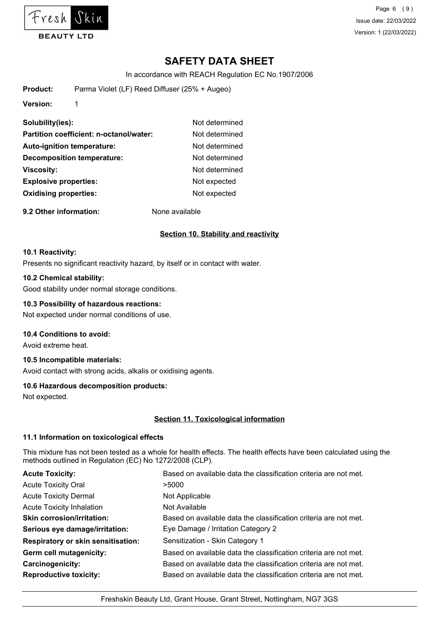

Page 6 (9) Issue date: 22/03/2022 Version: 1 (22/03/2022)

# **SAFETY DATA SHEET**

In accordance with REACH Regulation EC No.1907/2006

**Version:** 1

| Not determined |
|----------------|
| Not determined |
| Not determined |
| Not determined |
| Not determined |
| Not expected   |
| Not expected   |
|                |

**9.2 Other information:** None available

#### **Section 10. Stability and reactivity**

#### **10.1 Reactivity:**

Presents no significant reactivity hazard, by itself or in contact with water.

#### **10.2 Chemical stability:**

Good stability under normal storage conditions.

#### **10.3 Possibility of hazardous reactions:**

Not expected under normal conditions of use.

### **10.4 Conditions to avoid:**

Avoid extreme heat.

### **10.5 Incompatible materials:**

Avoid contact with strong acids, alkalis or oxidising agents.

#### **10.6 Hazardous decomposition products:**

Not expected.

#### **Section 11. Toxicological information**

#### **11.1 Information on toxicological effects**

This mixture has not been tested as a whole for health effects. The health effects have been calculated using the methods outlined in Regulation (EC) No 1272/2008 (CLP).

| <b>Acute Toxicity:</b>                    | Based on available data the classification criteria are not met. |
|-------------------------------------------|------------------------------------------------------------------|
| <b>Acute Toxicity Oral</b>                | >5000                                                            |
| <b>Acute Toxicity Dermal</b>              | Not Applicable                                                   |
| <b>Acute Toxicity Inhalation</b>          | Not Available                                                    |
| <b>Skin corrosion/irritation:</b>         | Based on available data the classification criteria are not met. |
| Serious eye damage/irritation:            | Eye Damage / Irritation Category 2                               |
| <b>Respiratory or skin sensitisation:</b> | Sensitization - Skin Category 1                                  |
| Germ cell mutagenicity:                   | Based on available data the classification criteria are not met. |
| <b>Carcinogenicity:</b>                   | Based on available data the classification criteria are not met. |
| <b>Reproductive toxicity:</b>             | Based on available data the classification criteria are not met. |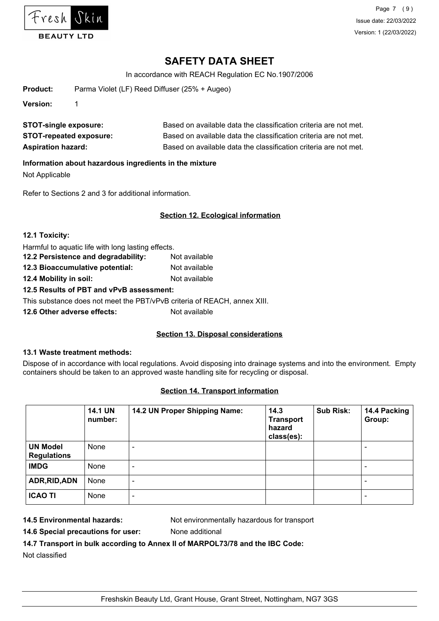

In accordance with REACH Regulation EC No.1907/2006

**Product:** Parma Violet (LF) Reed Diffuser (25% + Augeo)

**Version:** 1

| <b>STOT-single exposure:</b>   | Based on available data the classification criteria are not met. |
|--------------------------------|------------------------------------------------------------------|
| <b>STOT-repeated exposure:</b> | Based on available data the classification criteria are not met. |
| <b>Aspiration hazard:</b>      | Based on available data the classification criteria are not met. |

#### **Information about hazardous ingredients in the mixture**

Not Applicable

Refer to Sections 2 and 3 for additional information.

# **Section 12. Ecological information**

| 12.1 Toxicity:                                     |               |  |
|----------------------------------------------------|---------------|--|
| Harmful to aquatic life with long lasting effects. |               |  |
| 12.2 Persistence and degradability:                | Not available |  |
| 12.3 Bioaccumulative potential:                    | Not available |  |
| 12.4 Mobility in soil:                             | Not available |  |
| 12.5 Results of PBT and vPvB assessment:           |               |  |
|                                                    |               |  |

This substance does not meet the PBT/vPvB criteria of REACH, annex XIII.

**12.6 Other adverse effects:** Not available

# **Section 13. Disposal considerations**

## **13.1 Waste treatment methods:**

Dispose of in accordance with local regulations. Avoid disposing into drainage systems and into the environment. Empty containers should be taken to an approved waste handling site for recycling or disposal.

## **Section 14. Transport information**

|                                       | <b>14.1 UN</b><br>number: | 14.2 UN Proper Shipping Name: | 14.3<br><b>Transport</b><br>hazard<br>class(es): | <b>Sub Risk:</b> | 14.4 Packing<br>Group:   |
|---------------------------------------|---------------------------|-------------------------------|--------------------------------------------------|------------------|--------------------------|
| <b>UN Model</b><br><b>Regulations</b> | None                      | $\overline{\phantom{0}}$      |                                                  |                  | $\blacksquare$           |
| <b>IMDG</b>                           | None                      | $\overline{\phantom{0}}$      |                                                  |                  | $\blacksquare$           |
| ADR, RID, ADN                         | None                      | $\overline{\phantom{a}}$      |                                                  |                  | $\,$ $\,$                |
| <b>ICAO TI</b>                        | None                      | $\overline{\phantom{a}}$      |                                                  |                  | $\overline{\phantom{a}}$ |

**14.5 Environmental hazards:** Not environmentally hazardous for transport

**14.6 Special precautions for user:** None additional

**14.7 Transport in bulk according to Annex II of MARPOL73/78 and the IBC Code:**

Not classified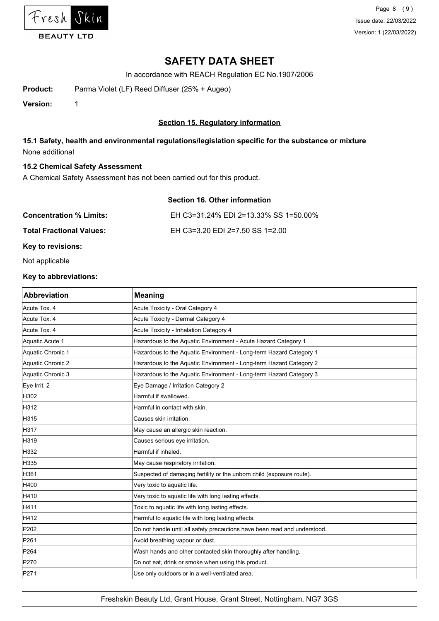

In accordance with REACH Regulation EC No.1907/2006

**Product:** Parma Violet (LF) Reed Diffuser (25% + Augeo)

**Version:** 1

## **Section 15. Regulatory information**

# **15.1 Safety, health and environmental regulations/legislation specific for the substance or mixture** None additional

#### **15.2 Chemical Safety Assessment**

A Chemical Safety Assessment has not been carried out for this product.

# **Section 16. Other information**

| <b>Concentration % Limits:</b>  | EH C3=31.24% EDI 2=13.33% SS 1=50.00% |
|---------------------------------|---------------------------------------|
| <b>Total Fractional Values:</b> | EH C3=3.20 EDI 2=7.50 SS 1=2.00       |
| <b>Key to revisions:</b>        |                                       |

Not applicable

# **Key to abbreviations:**

| <b>Abbreviation</b> | <b>Meaning</b>                                                            |
|---------------------|---------------------------------------------------------------------------|
| Acute Tox. 4        | Acute Toxicity - Oral Category 4                                          |
| Acute Tox. 4        | Acute Toxicity - Dermal Category 4                                        |
| Acute Tox. 4        | Acute Toxicity - Inhalation Category 4                                    |
| Aquatic Acute 1     | Hazardous to the Aquatic Environment - Acute Hazard Category 1            |
| Aquatic Chronic 1   | Hazardous to the Aquatic Environment - Long-term Hazard Category 1        |
| Aquatic Chronic 2   | Hazardous to the Aquatic Environment - Long-term Hazard Category 2        |
| Aquatic Chronic 3   | Hazardous to the Aquatic Environment - Long-term Hazard Category 3        |
| Eye Irrit. 2        | Eye Damage / Irritation Category 2                                        |
| H302                | Harmful if swallowed.                                                     |
| H312                | Harmful in contact with skin.                                             |
| H315                | Causes skin irritation.                                                   |
| H317                | May cause an allergic skin reaction.                                      |
| H319                | Causes serious eye irritation.                                            |
| H332                | Harmful if inhaled.                                                       |
| H335                | May cause respiratory irritation.                                         |
| H361                | Suspected of damaging fertility or the unborn child (exposure route).     |
| H400                | Very toxic to aquatic life.                                               |
| H410                | Very toxic to aquatic life with long lasting effects.                     |
| H411                | Toxic to aquatic life with long lasting effects.                          |
| H412                | Harmful to aquatic life with long lasting effects.                        |
| P202                | Do not handle until all safety precautions have been read and understood. |
| P261                | Avoid breathing vapour or dust.                                           |
| P <sub>264</sub>    | Wash hands and other contacted skin thoroughly after handling.            |
| P270                | Do not eat, drink or smoke when using this product.                       |
| P271                | Use only outdoors or in a well-ventilated area.                           |